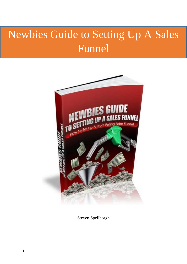# Newbies Guide to Setting Up A Sales Funnel



Steven Spellborgh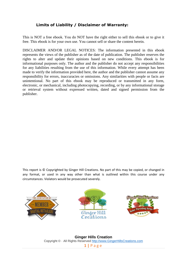#### **Limits of Liability / Disclaimer of Warranty:**

This is NOT a free ebook. You do NOT have the right either to sell this ebook or to give it free. This ebook is for your own use. You cannot sell or share the content herein.

DISCLAIMER AND/OR LEGAL NOTICES: The information presented in this ebook represents the views of the publisher as of the date of publication. The publisher reserves the rights to alter and update their opinions based on new conditions. This ebook is for informational purposes only. The author and the publisher do not accept any responsibilities for any liabilities resulting from the use of this information. While every attempt has been made to verify the information provided here, the author and the publisher cannot assume any responsibility for errors, inaccuracies or omissions. Any similarities with people or facts are unintentional. No part of this ebook may be reproduced or transmitted in any form, electronic, or mechanical, including photocopying, recording, or by any informational storage or retrieval system without expressed written, dated and signed permission from the publisher.

This report is © Copyrighted by Ginger Hill Creations. No part of this may be copied, or changed in any format, or used in any way other than what is outlined within this course under any circumstances. Violators would be prosecuted severely.







**Ginger Hills Creation** Copyright © · All Rights Reserved [http://www.GingerHillsCreations.com](http://www.gingerhillscreations.com/) **1 |** P a g e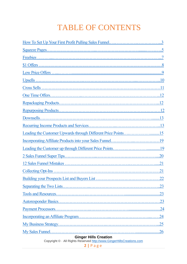# TABLE OF CONTENTS

| Leading the Customer Upwards through Different Price Points15                                         |  |  |
|-------------------------------------------------------------------------------------------------------|--|--|
|                                                                                                       |  |  |
|                                                                                                       |  |  |
|                                                                                                       |  |  |
|                                                                                                       |  |  |
|                                                                                                       |  |  |
| Building your Prospects List and Buyers List<br>.22                                                   |  |  |
|                                                                                                       |  |  |
|                                                                                                       |  |  |
|                                                                                                       |  |  |
|                                                                                                       |  |  |
|                                                                                                       |  |  |
|                                                                                                       |  |  |
|                                                                                                       |  |  |
| <b>Ginger Hills Creation</b><br>Copyright © · All Rights Reserved http://www.GingerHillsCreations.com |  |  |

**2 |** P a g e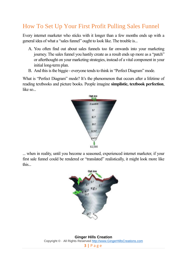# <span id="page-3-0"></span>How To Set Up Your First Profit Pulling Sales Funnel

Every internet marketer who sticks with it longer than a few months ends up with a general idea of what a "sales funnel" ought to look like. The trouble is...

- A. You often find out about sales funnels too far onwards into your marketing journey. The sales funnel you hastily create as a result ends up more as a "patch" or afterthought on your marketing strategies, instead of a vital component in your initial long-term plan.
- B. And this is the biggie everyone tends to think in "Perfect Diagram" mode.

What is "Perfect Diagram" mode? It's the phenomenon that occurs after a lifetime of reading textbooks and picture books. People imagine **simplistic, textbook perfection**, like so...



... when in reality, until you become a seasoned, experienced internet marketer, if your first sale funnel could be rendered or "translated" realistically, it might look more like this...

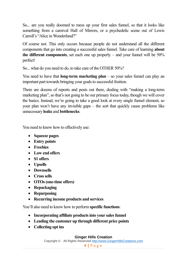So... are you really doomed to mess up your first sales funnel, so that it looks like something from a carnival Hall of Mirrors, or a psychedelic scene out of Lewis Carroll's "Alice in Wonderland?"

Of course not. This only occurs because people do not understand all the different components that go into creating a successful sales funnel. Take care of learning **about the different components**, set each one up properly – and your funnel will be 50% perfect!

So... what do you need to do, to take care of the OTHER 50%?

You need to have that **long-term marketing plan** – so your sales funnel can play an important part towards bringing your goals to successful fruition.

There are dozens of reports and posts out there, dealing with "making a long-term marketing plan", so that's not going to be our primary focus today, though we will cover the basics. Instead, we're going to take a good look at every single funnel element, so your plan won't have any invisible gaps – the sort that quickly cause problems like unnecessary **leaks** and **bottlenecks**.

You need to know how to effectively use:

- **Squeeze pages**
- **Entry points**
- **Freebies**
- **Low end offers**
- **\$1 offers**
- **Upsells**
- **Downsells**
- **Cross sells**
- **OTOs (one-time offers)**
- **Repackaging**
- **•** Repurposing
- **Recurring income products and services**

You'll also need to know how to perform **specific functions**:

- **Incorporating affiliate products into your sales funnel**
- **Leading the customer up through different price points**
- **Collecting opt ins**

#### **Ginger Hills Creation**

Copyright © · All Rights Reserved [http://www.GingerHillsCreations.com](http://www.gingerhillscreations.com/)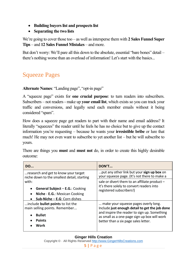- **Building buyers list and prospects list**
- **Separating the two lists**

We're going to cover those too – as well as intersperse them with **2 Sales Funnel Super Tips** – and **12 Sales Funnel Mistakes** – and more.

But don't worry: We'll pare all this down to the absolute, essential "bare bones" detail – there's nothing worse than an overload of information! Let's start with the basics...

# <span id="page-5-0"></span>Squeeze Pages

**Alternate Names**: "Landing page", "opt-in page"

A "squeeze page" exists for **one crucial purpose**: to turn readers into subscribers. Subscribers – not readers - make up **your email list**, which exists so you can track your traffic and conversions, and legally send each member emails without it being considered "spam".

How does a squeeze page get readers to part with their name and email address? It literally "squeezes" the reader until he feels he has no choice but to give up the contact information you're requesting – because he wants your **irresistible bribe** or lure that much! He may not even want to subscribe to yet another list – but he will subscribe to yours.

There are things you **must** and **must not** do, in order to create this highly desirable outcome:

| <b>DO</b>                                   | DON'T                                          |
|---------------------------------------------|------------------------------------------------|
| research and get to know your target        | put any other link but your sign up box on     |
| niche down to the smallest detail, starting | your squeeze page. (It's not there to make a   |
| with:                                       | sale or divert them to an affiliate product -  |
| General Subject - E.G.: Cooking             | it's there solely to convert readers into      |
| Niche - E.G.: Mexican Cooking               | registered subscribers!)                       |
| Sub-Niche $-$ E.G: Corn dishes              |                                                |
| include <b>bullet points</b> to list the    | make your squeeze pages overly long.           |
| main selling points. Remember               | Include just enough detail to get the job done |
| <b>Bullet</b>                               | and inspire the reader to sign up. Something   |
| <b>Points</b>                               | as small as a one-page sign up box will work   |
| Work                                        | better than a six page sales letter.           |

#### **Ginger Hills Creation**

Copyright © · All Rights Reserved [http://www.GingerHillsCreations.com](http://www.gingerhillscreations.com/)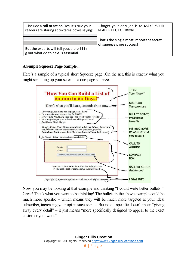| include a call to action. Yes, It's true your<br>readers are staring at textarea boxes saying: | forget your only job is to MAKE YOUR<br><b>READER BEG FOR MORE.</b> |
|------------------------------------------------------------------------------------------------|---------------------------------------------------------------------|
|                                                                                                | That's the single most important secret                             |
|                                                                                                | of squeeze page success!                                            |
| But the experts will tell you, s-p-e-l-l-i-n-<br>g out what do to next is essential.           |                                                                     |

#### **A Simple Squeeze Page Sample...**

Here's a sample of a typical short Squeeze page...On the net, this is exactly what you might see filling up your screen – a one-page squeeze.



Now, you may be looking at that example and thinking "I could write better bullets!". Great! That's what you want to be thinking! The bullets in the above example could be much more specific – which means they will be much more targeted at your ideal subscriber, increasing your opt-in success rate. But note – specific doesn't mean "giving away every detail" – it just means "more specifically designed to appeal to the exact customer you want."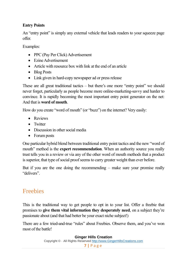#### **Entry Points**

An "entry point" is simply any external vehicle that leads readers to your squeeze page offer.

Examples:

- PPC (Pay Per Click) Advertisement
- Ezine Advertisement
- Article with resource box with link at the end of an article
- Blog Posts
- Link given in hard-copy newspaper ad or press release

These are all great traditional tactics – but there's one more "entry point" we should never forget, particularly as people become more online-marketing-savvy and harder to convince. It is rapidly becoming the most important entry point generator on the net: And that is **word of mouth**.

How do you create "word of mouth" (or "buzz") on the internet? Very easily:

- Reviews
- Twitter
- Discussion in other social media
- Forum posts

One particular hybrid blend between traditional entry point tactics and the new "word of mouth" method is the **expert recommendation**. When an authority source you really trust tells you in a review or via any of the other word of mouth methods that a product is superior, that type of social proof seems to carry greater weight than ever before.

But if you are the one doing the recommending – make sure your promise really "delivers".

# <span id="page-7-0"></span>Freebies

This is the traditional way to get people to opt in to your list. Offer a freebie that promises to **give them vital information they desperately need**, on a subject they're passionate about (and that had better be your exact niche subject!)

There are a few tried-and-true "rules" about Freebies. Observe them, and you've won most of the battle!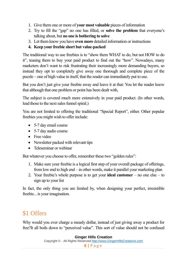- 1. Give them one or more of **your most valuable** pieces of information
- 2. Try to fill the "gap" no one has filled, or **solve the problem** that everyone's talking about, but **no one is bothering to solve**
- 3. Let them know you have **even more** detailed information or instructions
- **4. Keep your freebie short but value-packed**

The traditional way to use freebies is to "show them WHAT to do, but not HOW to do it", teasing them to buy your paid product to find out the "how". Nowadays, many marketers don't want to risk frustrating their increasingly more demanding buyers, so instead they opt to completely give away one thorough and complete piece of the puzzle – one of high value in itself, that the reader can immediately put to use.

But you don't just give your freebie away and leave it at that: You let the reader know that although that one problem or point has been dealt with,

The subject is covered much more extensively in your paid product. (In other words, lead those to the next sales funnel spiral.)

You are not limited to offering the traditional "Special Report", either. Other popular freebies you might wish to offer include:

- 5-7 day email course
- 5-7 day audio course
- Free video
- Newsletter packed with relevant tips
- Teleseminar or webinar

But whatever you choose to offer, remember these two "golden rules":

- 1. Make sure your freebie is a logical first step of your overall package of offerings, from low end to high end – in other words, make it parallel your marketing plan
- 2. Your freebie's whole purpose is to get your **ideal customer** no one else to sign up to your list

In fact, the only thing you are limited by, when designing your perfect, irresistible freebie... is your imagination.

# <span id="page-8-0"></span>\$1 Offers

Why would you ever charge a measly dollar, instead of just giving away a product for free?It all boils down to "perceived value". This sort of value should not be confused

**8 |** P a g e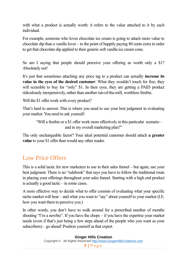with what a product is actually worth: it refers to the value attached to it by each individual.

For example, someone who loves chocolate ice cream is going to attach more value to chocolate dip than a vanilla lover – to the point of happily paying 80 cents extra in order to get that chocolate dip applied to their generic soft vanilla ice cream cone.

So am I saying that people should perceive your offering as worth only a \$1? Absolutely not!

It's just that sometimes attaching any price tag to a product can actually **increase its value in the eyes of the desired customer**: What they wouldn't touch for free, they will scramble to buy for "only" \$1. In their eyes, they are getting a PAID product ridiculously inexpensively, rather than another run-of-the-mill, worthless freebie.

Will the \$1 offer work with every product?

That's hard to answer. This is where you need to use your best judgment in evaluating your market. You need to ask yourself:

```
"Will a freebie or a $1 offer work more effectively in this particular scenario –
      and in my overall marketing plan?"
```
The only unchangeable factor? Your ideal potential customer should attach **a greater value** to your \$1 offer than would any other reader.

### <span id="page-9-0"></span>Low Price Offers

This is a solid tactic for new marketers to use in their sales funnel – but again, use your best judgment. There is no "rulebook" that says you have to follow the traditional route in placing your offerings throughout your sales funnel. Starting with a high end product is actually a good tactic – in some cases.

A more effective way to decide what to offer consists of evaluating what your specific niche market will bear – and what you want to "say" about yourself to your market (I.E. how you want them to perceive you.)

In other words, you don't have to walk around for a prescribed number of months shouting "I'm a newbie". If you have the chops – if you have the expertise your market needs (even if that's just being a few steps ahead of the people who you want as your subscribers) – go ahead! Position yourself as that expert.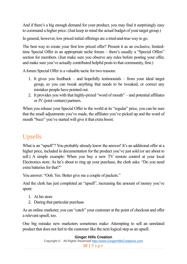And if there's a big enough demand for your product, you may find it surprisingly easy to command a higher price. (Just keep in mind the actual budget of your target group.)

In general, however, low priced initial offerings are a tried-and-true way to go.

The best way to create your first low priced offer? Present it as an exclusive, limitedtime Special Offer in an appropriate niche forum – there's usually a "Special Offers" section for members. (Just make sure you observe any rules before posting your offer, and make sure you've actually contributed helpful posts to that community, first.)

A forum Special Offer is a valuable tactic for two reasons:

- 1. It gives you feedback and hopefully testimonials from your ideal target group, so you can tweak anything that needs to be tweaked, or correct any mistakes people have pointed out.
- 2. It provides you with that highly-prized "word of mouth" and potential affiliates or JV (joint venture) partners.

When you release your Special Offer to the world at its "regular" price, you can be sure that the small adjustments you've made, the affiliates you've picked up and the word of mouth "buzz" you've started will give it that extra boost.

# Upsells

What is an "upsell"? You probably already know the answer! It's an additional offer at a higher price, included in documentation for the product you've just sold (or are about to sell.) A simple example: When you buy a new TV remote control at your local Electronics store. As he's about to ring up your purchase, the clerk asks: "Do you need extra batteries for that?"

You answer: "Ooh. Yes. Better give me a couple of packets."

And the clerk has just completed an "upsell", increasing the amount of money you've spent:

- 1. At his store
- 2. During that particular purchase

As an online marketer, you can "catch" your customer at the point of checkout and offer a relevant upsell, too.

One big mistake new marketers sometimes make: Attempting to sell an unrelated product that does not feel to the customer like the next logical step as an upsell.

#### **Ginger Hills Creation**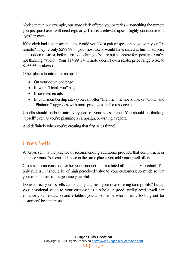Notice that in our example, our store clerk offered you batteries – something the remote you just purchased will need regularly. That is a relevant upsell, highly conducive to a "yes" answer.

If the clerk had said instead: "Hey, would you like a pair of speakers to go with your TV remote? They're only \$299.99..." you most likely would have stared at him in surprise and sudden mistrust, before firmly declining. (You're not shopping for speakers. You're not thinking "audio". Your \$14.99 TV remote doesn't even relate, price range wise, to \$299.99 speakers.)

Other places to introduce an upsell:

- On your download page
- In your "Thank you" page
- In selected emails
- In your membership sites (you can offer "lifetime" memberships, or "Gold" and "Platinum" upgrades, with more privileges and/or resources)

Upsells should be built into every part of your sales funnel. You should be thinking "upsell" even as you're planning a campaign, or writing a report.

And definitely when you're creating that first sales funnel!

# <span id="page-11-0"></span>Cross Sells

A "cross sell" is the practice of recommending additional products that compliment or enhance yours. You can add these in the same places you add your upsell offers.

Cross sells can consist of either your product – or a related affiliate or JV product. The only rule is... it should be of high perceived value to your customers; so much so that your offer comes off as genuinely helpful.

Done correctly, cross sells can not only augment your own offering (and profits!) but up your emotional value to your customer as a whole. A good, well-placed upsell can enhance your reputation and establish you as someone who is really looking out for customers' best interests.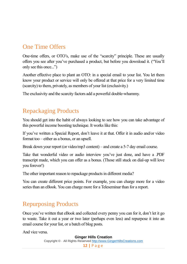# One Time Offers

One-time offers, or OTO's, make use of the "scarcity" principle. These are usually offers you see after you've purchased a product, but before you download it. ("You'll only see this once...")

Another effective place to plant an OTO: in a special email to your list. You let them know your product or service will only be offered at that price for a very limited time (scarcity) to them, privately, as members of your list (exclusivity.)

The exclusivity and the scarcity factors add a powerful double-whammy.

# <span id="page-12-0"></span>Repackaging Products

You should get into the habit of always looking to see how you can take advantage of this powerful income boosting technique. It works like this:

If you've written a Special Report, don't leave it at that. Offer it in audio and/or video format too – either as a bonus, or an upsell.

Break down your report (or video/mp3 content) – and create a 5-7 day email course.

Take that wonderful video or audio interview you've just done, and have a .PDF transcript made, which you can offer as a bonus. (Those still stuck on dial-up will love you forever!)

The other important reason to repackage products in different media?

You can create different price points. For example, you can charge more for a video series than an eBook. You can charge more for a Teleseminar than for a report.

# Repurposing Products

Once you've written that eBook and collected every penny you can for it, don't let it go to waste. Take it out a year or two later (perhaps even less) and repurpose it into an email course for your list, or a batch of blog posts.

And vice versa.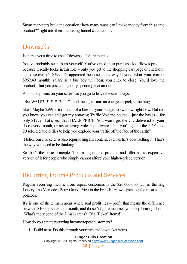Smart marketers build the equation "how many ways can I make money from this same product?" right into their marketing funnel calculations.

# Downsells

Is there ever a time to use a "downsell"? Sure there is!

You've probably seen them yourself. You've opted in to purchase Joe Blow's product, because it really looks irresistible – only you get to the shopping cart page or checkout, and discover it's \$599! Disappointed because that's way beyond what your current \$962.49 monthly salary as a bus boy will bear, you click to close. You'd love the product – but you just can't justify spending that amount.

A popup appears on your screen as you go to leave the site. It says:

"But WAIT!!!!!!!!!!!!!!! " - and then goes into an energetic spiel; something

like, "Maybe \$599 is too much of a bite for your budget to swallow right now. But did you know you can still get my amazing Traffic Volcano course – just the basics – for only \$197? That's less than HALF PRICE! You won't get the CD delivered to your door every month, or my amazing Volcano software – but you'll get all the PDFs and 20 selected audio files to help you explode your traffic off the face of the earth!"

(Notice our marketer is also repurposing his content, even as he's downselling it. That's the way you need to be thinking.)

So that's the basic principle: Take a higher end product, and offer a less expensive version of it for people who simply cannot afford your higher-priced version.

### <span id="page-13-0"></span>Recurring Income Products and Services

Regular recurring income from repeat customers is the \$20,000,000 win in the Big Lottery; the Mercedes Benz Grand Prize in the French fry sweepstakes; the meat to the potatoes.

It's is one of the 2 main areas where real profit lies – profit that means the difference between \$100 or so extra a month, and those 6-figure incomes you keep hearing about. (What's the second of the 2 main areas? "Big Ticket" items!)

How do you create recurring income/repeat customers?

1. Build trust. Do this through your free and low ticket items.

#### **Ginger Hills Creation**

Copyright © · All Rights Reserved [http://www.GingerHillsCreations.com](http://www.gingerhillscreations.com/)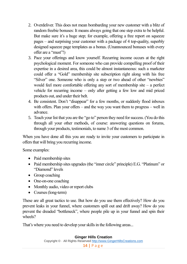- 2. Overdeliver. This does not mean bombarding your new customer with a blitz of random freebie bonuses: It means always going that one step extra to be helpful. But make sure it's a huge step; for example, offering a free report on squeeze pages – and surprising your customer with a package of 4 top-quality, superbly designed squeeze page templates as a bonus. (Unannounced bonuses with every offer are a "must"!)
- 3. Pace your offerings and know yourself. Recurring income occurs at the right psychological moment. For someone who can provide compelling proof of their expertise in a desired area, this could be almost instantaneous: such a marketer could offer a "Gold" membership site subscription right along with his free "Silver" one. Someone who is only a step or two ahead of other "newbies" would feel more comfortable offering any sort of membership site – a perfect vehicle for recurring income – only after getting a few low and mid priced products out, and under their belt.
- 4. Be consistent. Don't "disappear" for a few months, or suddenly flood inboxes with offers. Plan your offers – and the way you want them to progress – well in advance.
- 5. Teach your list that you are the "go to" person they need for success. (You do this through all your other methods, of course: answering questions on forums, through your products, testimonials, to name 3 of the most common.

When you have done all this you are ready to invite your customers to participate in offers that will bring you recurring income.

Some examples:

- Paid membership sites
- Paid membership sites upgrades (the "inner circle" principle) E.G. "Platinum" or "Diamond" levels
- Group coaching
- One-on-one coaching
- Monthly audio, video or report clubs
- Courses (long-term)

These are all great tactics to use. But how do you use them effectively? How do you prevent leaks in your funnel, where customers spill out and drift away? How do you prevent the dreaded "bottleneck", where people pile up in your funnel and spin their wheels?

That's where you need to develop your skills in the following areas...

**Ginger Hills Creation** Copyright © · All Rights Reserved [http://www.GingerHillsCreations.com](http://www.gingerhillscreations.com/) **14 |** P a g e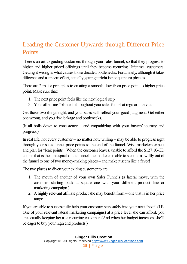# Leading the Customer Upwards through Different Price **Points**

There's an art to guiding customers through your sales funnel, so that they progress to higher and higher priced offerings until they become recurring "lifetime" customers. Getting it wrong is what causes those dreaded bottlenecks. Fortunately, although it takes diligence and a sincere effort, actually getting it right is not quantum physics.

There are 2 major principles to creating a smooth flow from price point to higher price point. Make sure that:

- 1. The next price point feels like the next logical step
- 2. Your offers are "planted" throughout your sales funnel at regular intervals

Get those two things right, and your sales will reflect your good judgment. Get either one wrong, and you risk leakage and bottlenecks.

(It all boils down to consistency – and empathizing with your buyers' journey and progress.)

In real life, not every customer – no matter how willing – may be able to progress right through your sales funnel price points to the end of the funnel. Wise marketers expect and plan for "leak points". When the customer leaves, unable to afford the \$127 10-CD course that is the next spiral of the funnel, the marketer is able to steer him swiftly out of the funnel to one of two money-making places – and make it seem like a favor!

The two places to divert your exiting customer to are:

- 1. The mouth of another of your own Sales Funnels (a lateral move, with the customer starting back at square one with your different product line or marketing campaign.)
- 2. A highly relevant affiliate product she may benefit from one that is in her price range.

If you are able to successfully help your customer step safely into your next "boat" (I.E. One of your relevant lateral marketing campaigns) at a price level she can afford, you are actually keeping her as a recurring customer. (And when her budget increases, she'll be eager to buy your high end products.)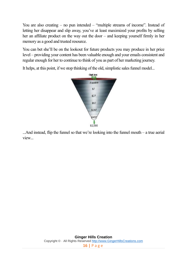You are also creating – no pun intended – "multiple streams of income". Instead of letting her disappear and slip away, you've at least maximized your profits by selling her an affiliate product on the way out the door – and keeping yourself firmly in her memory as a good and trusted resource.

You can bet she'll be on the lookout for future products you may produce in her price level – providing your content has been valuable enough and your emails consistent and regular enough for her to continue to think of you as part of her marketing journey.

It helps, at this point, if we stop thinking of the old, simplistic sales funnel model... Opt-ins



...And instead, flip the funnel so that we're looking into the funnel mouth – a true aerial view...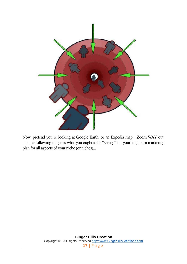

Now, pretend you're looking at Google Earth, or an Expedia map... Zoom WAY out, and the following image is what you ought to be "seeing" for your long term marketing plan for all aspects of your niche (or niches)...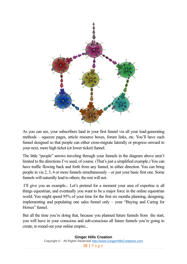

As you can see, your subscribers land in your first funnel via all your lead-generating methods – squeeze pages, article resource boxes, forum links, etc. You'll have each funnel designed so that people can either cross-migrate laterally or progress onward to your next, more high ticket (or lower ticket) funnel.

The little "people" arrows traveling through your funnels in the diagram above aren't limited to the directions I've used, of course. (That's just a simplified example.) You can have traffic flowing back and forth from any funnel, in either direction. You can bring people in via 2, 3, 4 or more funnels simultaneously – or just your basic first one. Some funnels will naturally lead to others; the rest will not.

I'll give you an example... Let's pretend for a moment your area of expertise is all things equestrian, and eventually you want to be a major force in the online equestrian world. You might spend 95% of your time for the first six months planning, designing, implementing and populating one sales funnel only – your "Buying and Caring for Horses" funnel.

But all the time you're doing that, because you planned future funnels from the start, you will have in your conscious and sub-conscious all future funnels you're going to create, to round out your online empire...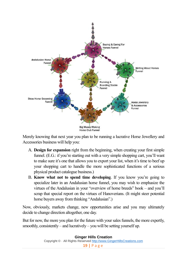

Merely knowing that next year you plan to be running a lucrative Horse Jewellery and Accessories business will help you:

- A. **Design for expansion** right from the beginning, when creating your first simple funnel. (E.G.: if you're starting out with a very simple shopping cart, you'll want to make sure it's one that allows you to export your list, when it's time to beef up your shopping cart to handle the more sophisticated functions of a serious physical product catalogue business.)
- B. **Know what not to spend time developing**. If you know you're going to specialize later in an Andalusian horse funnel, you may wish to emphasize the virtues of the Andalusian in your "overview of horse breeds" book – and you'll scrap that special report on the virtues of Hanoverians. (It might steer potential horse buyers away from thinking "Andalusian".)

Now, obviously, markets change, new opportunities arise and you may ultimately decide to change direction altogether, one day.

But for now, the more you plan for the future with your sales funnels, the more expertly, smoothly, consistently – and lucratively – you will be setting yourself up.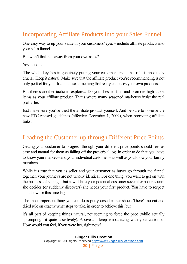# <span id="page-20-1"></span>Incorporating Affiliate Products into your Sales Funnel

One easy way to up your value in your customers' eyes – include affiliate products into your sales funnel.

But won't that take away from your own sales?

Yes – and no.

The whole key lies in genuinely putting your customer first – that rule is absolutely crucial. Keep it natural. Make sure that the affiliate product you're recommending is not only perfect for your list, but also something that really enhances your own products.

But there's another tactic to explore... Do your best to find and promote high ticket items as your affiliate product. That's where many seasoned marketers insist the real profits lie.

Just make sure you've tried the affiliate product yourself. And be sure to observe the new FTC revised guidelines (effective December 1, 2009), when promoting affiliate links..

# <span id="page-20-0"></span>Leading the Customer up through Different Price Points

Getting your customer to progress through your different price points should feel as easy and natural for them as falling off the proverbial log. In order to do that, you have to know your market – and your individual customer – as well as you know your family members.

While it's true that you as seller and your customer as buyer go through the funnel together, your journeys are not wholly identical. For one thing, you want to get on with the business of selling – but it will take your potential customer several exposures until she decides (or suddenly discovers) she needs your first product. You have to respect and allow for this time lag.

The most important thing you can do is put yourself in her shoes. There's no cut and dried rule on exactly what steps to take, in order to achieve this, but

it's all part of keeping things natural, not seeming to force the pace (while actually "prompting" it quite assertively). Above all, keep empathizing with your customer. How would you feel, if you were her, right now?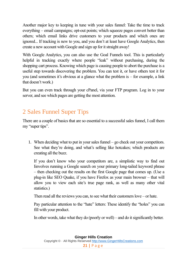Another major key to keeping in tune with your sales funnel: Take the time to track everything – email campaigns; opt-out points; which squeeze pages convert better than others; which email links drive customers to your products and which ones are ignored... If tracking is new to you, and you don't at least have Google Analytics, then create a new account with Google and sign up for it straight away!

With Google Analytics, you can also use the Goal Funnels tool. This is particularly helpful in tracking exactly where people "leak" without purchasing, during the shopping cart process. Knowing which page is causing people to abort the purchase is a useful step towards discovering the problem. You can test it, or have others test it for you (and sometimes it's obvious at a glance what the problem is – for example, a link that doesn't work.)

But you can even track through your cPanel, via your FTP program. Log in to your server, and see which pages are getting the most attention.

# <span id="page-21-0"></span>2 Sales Funnel Super Tips

There are a couple of basics that are so essential to a successful sales funnel, I call them my "super tips".

1. When deciding what to put in your sales funnel – go check out your competitors. See what they're doing, and what's selling like hotcakes; which products are creating all the buzz.

If you don't know who your competitors are, a simplistic way to find out Iinvolves running a Google search on your primary long-tailed keyword phrase – then checking out the results on the first Google page that comes up. (Use a plug-in like SEO Quake, if you have Firefox as your main browser – that will allow you to view each site's true page rank, as well as many other vital statistics.)

Then read all the reviews you can, to see what their customers love – or hate.

Pay particular attention to the "hate" letters: These identify the "holes" you can fill with your product.

In other words, take what they do (poorly or well) – and do it significantly better.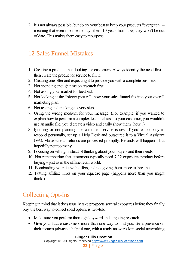2. It's not always possible, but do try your best to keep your products "evergreen" – meaning that even if someone buys them 10 years from now, they won't be out of date. This makes them easy to repurpose.

# <span id="page-22-0"></span>12 Sales Funnel Mistakes

- 1. Creating a product, then looking for customers. Always identify the need first then create the product or service to fill it.
- 2. Creating one offer and expecting it to provide you with a complete business
- 3. Not spending enough time on research first.
- 4. Not asking your market for feedback
- 5. Not looking at the "bigger picture"- how your sales funnel fits into your overall marketing plan.
- 6. Not testing and tracking at every step.
- 7. Using the wrong medium for your message. (For example, if you wanted to explain how to perform a complex technical task to your customer, you wouldn't use an audio file; you'd create a video and easily show them "how".)
- 8. Ignoring or not planning for customer service issues. If you're too busy to respond personally, set up a Help Desk and outsource it to a Virtual Assistant (VA). Make sure all refunds are processed promptly. Refunds will happen – but hopefully not too many.
- 9. Focusing on selling, instead of thinking about your buyers and their needs
- 10. Not remembering that customers typically need 7-12 exposures product before buying – just as in the offline retail world.
- 11. Bombarding your list with offers, and not giving them space to"breathe"
- 12. Putting affiliate links on your squeeze page (happens more than you might think!)

# Collecting Opt-Ins

Keeping in mind that it does usually take prospects several exposures before they finally buy, the best way to collect solid opt-ins is two-fold:

- Make sure you perform thorough keyword and targeting research
- Give your future customers more than one way to find you. Be a presence on their forums (always a helpful one, with a ready answer.) Join social networking

#### **Ginger Hills Creation**

Copyright © · All Rights Reserved [http://www.GingerHillsCreations.com](http://www.gingerhillscreations.com/)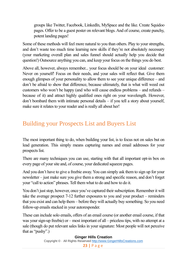groups like Twitter, Facebook, LinkedIn, MySpace and the like. Create Squidoo pages. Offer to be a guest poster on relevant blogs. And of course, create punchy, potent landing pages!

Some of these methods will feel more natural to you than others. Play to your strengths, and don't waste too much time learning new skills if they're not absolutely necessary (your marketing overall plan and sales funnel should actually help you decide that question!) Outsource anything you can, and keep your focus on the things you do best.

Above all, however, always remember... your focus should be on your ideal customer: Never on yourself! Focus on their needs, and your sales will reflect that. Give them enough glimpses of your personality to allow them to see your unique difference – and don't be afraid to show that difference, because ultimately, that is what will weed out customers who won't be happy (and who will cause endless problems – and refunds – because of it) and attract highly qualified ones right on your wavelength. However, don't bombard them with intimate personal details – if you tell a story about yourself, make sure it relates to your reader and is really all about her!

# Building your Prospects List and Buyers List

The most important thing to do, when building your list, is to focus not on sales but on lead generation. This simply means capturing names and email addresses for your prospects list.

There are many techniques you can use, starting with that all important opt-in box on every page of your site and, of course, your dedicated squeeze pages.

And you don't have to give a freebie away. You can simply ask them to sign up for your newsletter – just make sure you give them a strong and specific reason, and don't forget your "call to action" phrases. Tell them what to do and how to do it.

You don't just stop, however, once you've captured their subscription. Remember it will take the average prospect 7-12 further exposures to you and your product – reminders that you exist and can help them – before they will actually buy something. So you need follow-up emails stacked in your autoresponder.

These can include solo emails, offers of an email course (or another email course, if that was your sign-up freebie) or – most important of all – priceless tips, with no attempt at a sale (though do put relevant sales links in your signature: Most people will not perceive that as "pushy".)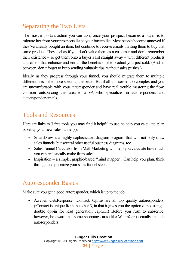# <span id="page-24-0"></span>Separating the Two Lists

The most important action you can take, once your prospect becomes a buyer, is to migrate her from your prospects list to your buyers list. Most people become annoyed if they've already bought an item, but continue to receive emails inviting them to buy that same product. They feel as if you don't value them as a customer and don't remember their existence – so get them onto a buyer's list straight away – with different products and offers that enhance and enrich the benefits of the product you just sold. (And in between, don't forget to keep sending valuable tips, without sales pushes.)

Ideally, as they progress through your funnel, you should migrate them to multiple different lists – the more specific, the better. But if all this seems too complex and you are uncomfortable with your autoresponder and have real trouble mastering the flow, consider outsourcing this area to a VA who specializes in autoresponders and autoresponder emails.

## <span id="page-24-1"></span>Tools and Resources

Here are links to 3 free tools you may find it helpful to use, to help you calculate, plan or set up your new sales funnel(s):

- SmartDraw is a highly sophisticated diagram program that will not only draw sales funnels, but several other useful business diagrams, too.
- Sales Funnel Calculator from MathMarketing will help you calculate how much you can realistically make from sales.
- Inspiration a simple, graphic-based "mind mapper". Can help you plan, think through and prioritize your sales funnel steps.

### <span id="page-24-2"></span>Autoresponder Basics

Make sure you get a good autoresponder, which is up to the job:

 Aweber, GetsResponse, iContact, Oprius are all top quality autoresponders. (iContact is unique from the other 3, in that it gives you the option of not using a double opt-in for lead generation capture.) Before you rush to subscribe, however, be aware that some shopping carts (like WahmCart) actually include autoresponders.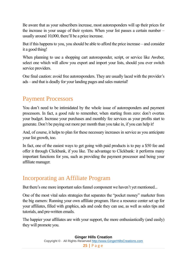Be aware that as your subscribers increase, most autoresponders will up their prices for the increase in your usage of their system. When your list passes a certain number – usually around 10,000, there'll be a price increase.

But if this happens to you, you should be able to afford the price increase – and consider it a good thing!

When planning to use a shopping cart autoresponder, script, or service like Aweber, select one which will allow you export and import your lists, should you ever switch service providers.

One final caution: avoid free autoresponders. They are usually laced with the provider's ads – and that is deadly for your landing pages and sales material!

## <span id="page-25-0"></span>Payment Processors

You don't need to be intimidated by the whole issue of autoresponders and payment processors. In fact, a good rule to remember, when starting from zero: don't overtax your budget. Increase your purchases and monthly fee services as your profits start to generate. Don't be paying out more per month than you take in, if you can help it!

And, of course, it helps to plan for these necessary increases in service as you anticipate your list growth, too.

In fact, one of the easiest ways to get going with paid products is to pay a \$50 fee and offer it through Clickbank, if you like. The advantage to Clickbank: it performs many important functions for you, such as providing the payment processor and being your affiliate manager.

### <span id="page-25-1"></span>Incorporating an Affiliate Program

But there's one more important sales funnel component we haven't yet mentioned...

One of the most vital sales strategies that separates the "pocket money" marketer from the big earners: Running your own affiliate program. Have a resource center set up for your affiliates, filled with graphics, ads and code they can use, as well as sales tips and tutorials, and pre-written emails.

The happier your affiliates are with your support, the more enthusiastically (and easily) they will promote you.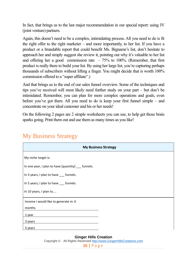In fact, that brings us to the last major recommendation in our special report: using JV (joint venture) partners.

Again, this doesn't need to be a complex, intimidating process. All you need to do is fit the right offer to the right marketer – and more importantly, to her list. If you have a product or a brandable report that could benefit Ms. Bigname's list, don't hesitate to approach her and simply suggest she review it, pointing out why it's valuable to her list and offering her a good commission rate  $-75%$  to 100%. (Remember, that first product is really there to build your list. By using her large list, you're capturing perhaps thousands of subscribers without lifting a finger. You might decide that is worth 100% commission offered to a "super affiliate".)

And that brings us to the end of our sales funnel overview. Some of the techniques and tips you've received will most likely need further study on your part – but don't be intimidated. Remember, you can plan for more complex operations and goals, even before you've got there. All you need to do is keep your first funnel simple – and concentrate on your ideal customer and his or her needs!

On the following 2 pages are 2 simple worksheets you can use, to help get those brain sparks going. Print them out and use them as many times as you like!

| <b>My Business Strategy</b>                        |
|----------------------------------------------------|
| My niche target is:                                |
| In one year, I plan to have [quantity] __ funnels. |
| In 3 years, I plan to have __ funnels.             |
| In 5 years, I plan to have __ funnels.             |
| In 10 years, I plan to                             |
| Income I would like to generate in: 6              |
| months                                             |
| 1 year                                             |
| 3 years                                            |
| 5 years                                            |

### <span id="page-26-0"></span>My Business Strategy

#### **Ginger Hills Creation**

Copyright © · All Rights Reserved [http://www.GingerHillsCreations.com](http://www.gingerhillscreations.com/) **26 |** P a g e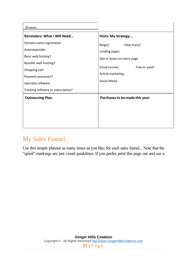| 10 years                                                                                                                                                                                    |                                                                                                                                             |
|---------------------------------------------------------------------------------------------------------------------------------------------------------------------------------------------|---------------------------------------------------------------------------------------------------------------------------------------------|
| <b>Reminders: What I Will Need</b>                                                                                                                                                          | <b>Hints: My Strategy</b>                                                                                                                   |
| Domain name registration<br>Autoresponder<br>Basic web hosting?<br>Reseller web hosting?<br>Shopping cart<br>Payment processor?<br>Specialty software<br>Tracking software or subscription? | Blog(s)<br>How many?<br>Landing pages:<br>Opt-in boxes on every page<br>Email courses<br>Free or paid?<br>Article marketing<br>Social Media |
| <b>Outsourcing Plan:</b>                                                                                                                                                                    | Purchases to be made this year:                                                                                                             |

# <span id="page-27-0"></span>My Sales Funnel

Use this simple planner as many times as you like, for each sales funnel... Note that the "spiral" markings are just visual guidelines: If you prefer, print this page out and use a